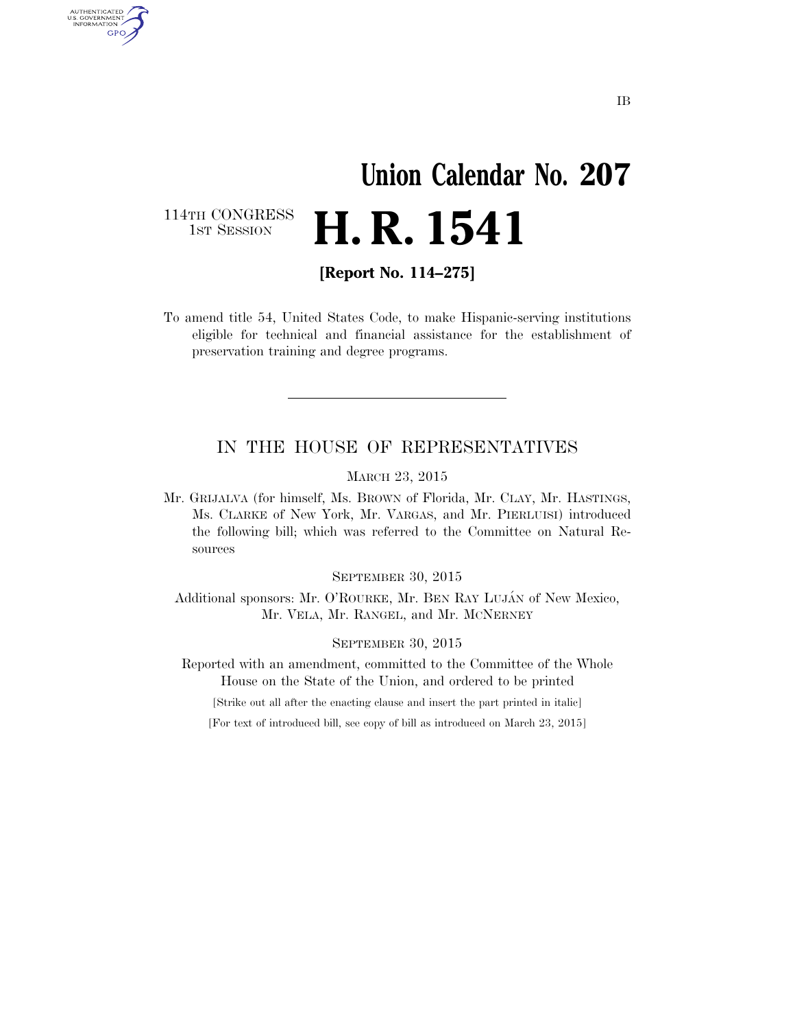# **Union Calendar No. 207 H. R. 1541**

114TH CONGRESS<br>1st Session

AUTHENTICATED<br>U.S. GOVERNMENT<br>INFORMATION GPO

**[Report No. 114–275]** 

To amend title 54, United States Code, to make Hispanic-serving institutions eligible for technical and financial assistance for the establishment of preservation training and degree programs.

### IN THE HOUSE OF REPRESENTATIVES

MARCH 23, 2015

Mr. GRIJALVA (for himself, Ms. BROWN of Florida, Mr. CLAY, Mr. HASTINGS, Ms. CLARKE of New York, Mr. VARGAS, and Mr. PIERLUISI) introduced the following bill; which was referred to the Committee on Natural Resources

SEPTEMBER 30, 2015

Additional sponsors: Mr. O'ROURKE, Mr. BEN RAY LUJÁN of New Mexico, Mr. VELA, Mr. RANGEL, and Mr. MCNERNEY

#### SEPTEMBER 30, 2015

Reported with an amendment, committed to the Committee of the Whole House on the State of the Union, and ordered to be printed

[Strike out all after the enacting clause and insert the part printed in italic]

[For text of introduced bill, see copy of bill as introduced on March 23, 2015]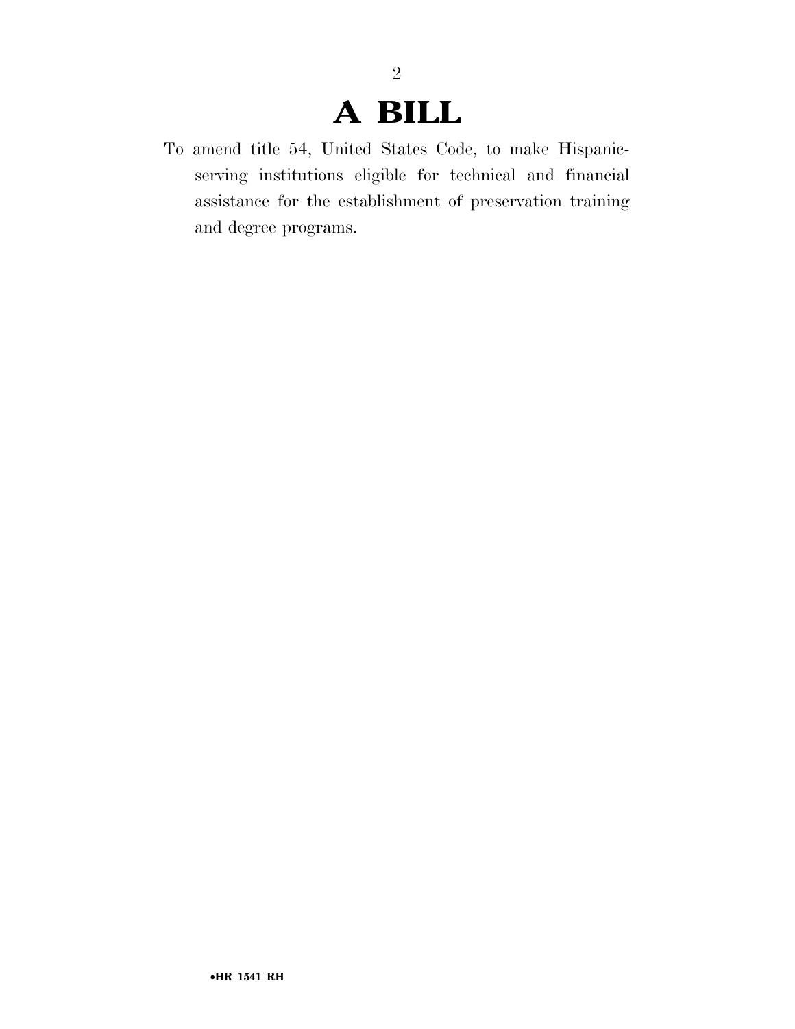### **A BILL**

2

To amend title 54, United States Code, to make Hispanicserving institutions eligible for technical and financial assistance for the establishment of preservation training and degree programs.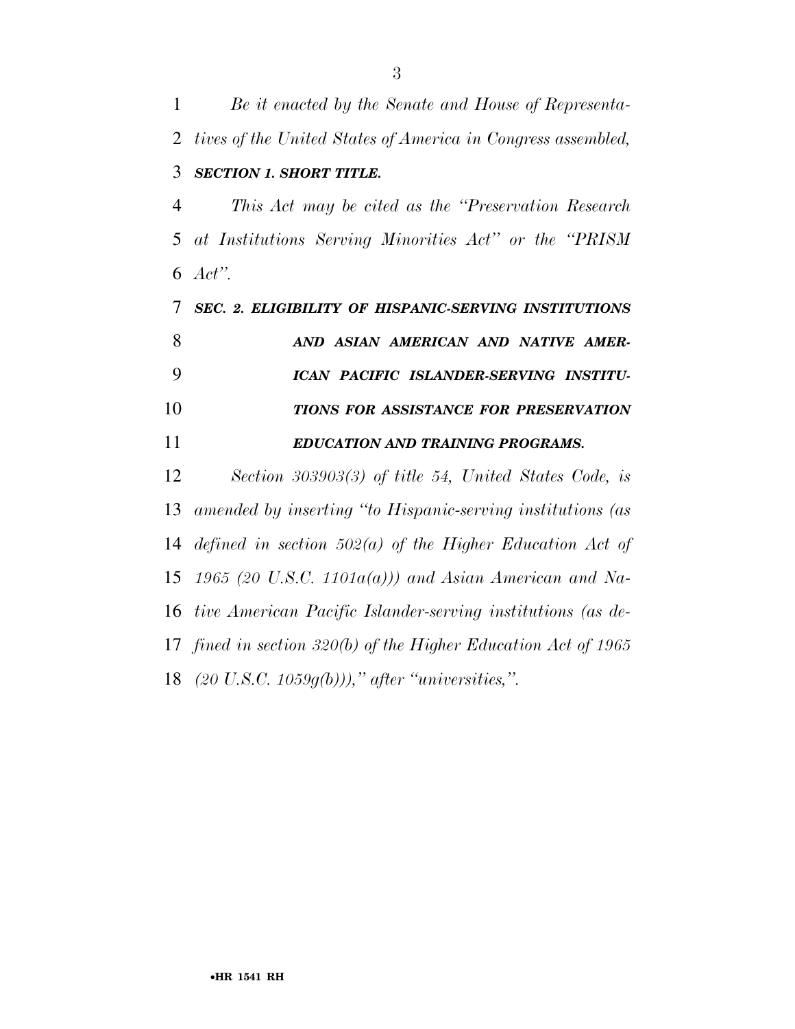*Be it enacted by the Senate and House of Representa- tives of the United States of America in Congress assembled, SECTION 1. SHORT TITLE. This Act may be cited as the ''Preservation Research at Institutions Serving Minorities Act'' or the ''PRISM Act''. SEC. 2. ELIGIBILITY OF HISPANIC-SERVING INSTITUTIONS AND ASIAN AMERICAN AND NATIVE AMER- ICAN PACIFIC ISLANDER-SERVING INSTITU- TIONS FOR ASSISTANCE FOR PRESERVATION EDUCATION AND TRAINING PROGRAMS. Section 303903(3) of title 54, United States Code, is amended by inserting ''to Hispanic-serving institutions (as* 

*defined in section 502(a) of the Higher Education Act of* 

*1965 (20 U.S.C. 1101a(a))) and Asian American and Na-*

*tive American Pacific Islander-serving institutions (as de-*

*fined in section 320(b) of the Higher Education Act of 1965* 

*(20 U.S.C. 1059g(b))),'' after ''universities,''.*